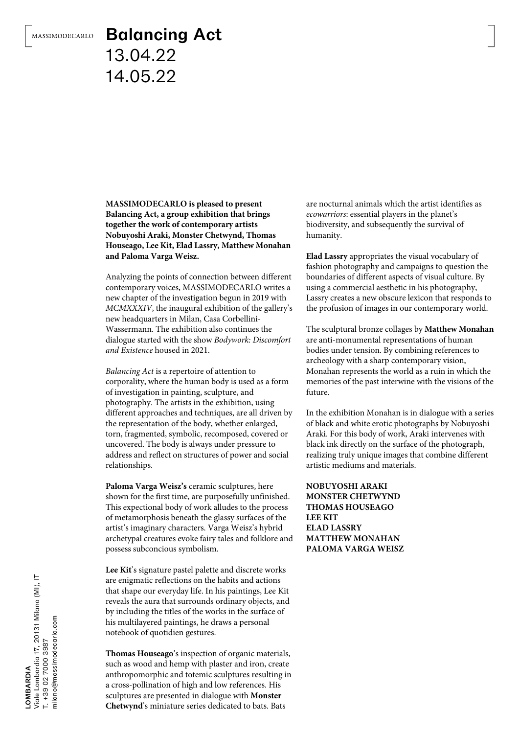## Balancing Act 13.04.22 14.05.22

**MASSIMODECARLO is pleased to present Balancing Act, a group exhibition that brings together the work of contemporary artists Nobuyoshi Araki, Monster Chetwynd, Thomas Houseago, Lee Kit, Elad Lassry, Matthew Monahan and Paloma Varga Weisz.**

Analyzing the points of connection between different contemporary voices, MASSIMODECARLO writes a new chapter of the investigation begun in 2019 with *MCMXXXIV*, the inaugural exhibition of the gallery's new headquarters in Milan, Casa Corbellini-Wassermann. The exhibition also continues the dialogue started with the show *Bodywork: Discomfort and Existence* housed in 2021.

*Balancing Act* is a repertoire of attention to corporality, where the human body is used as a form of investigation in painting, sculpture, and photography. The artists in the exhibition, using different approaches and techniques, are all driven by the representation of the body, whether enlarged, torn, fragmented, symbolic, recomposed, covered or uncovered. The body is always under pressure to address and reflect on structures of power and social relationships.

**Paloma Varga Weisz's** ceramic sculptures, here shown for the first time, are purposefully unfinished. This expectional body of work alludes to the process of metamorphosis beneath the glassy surfaces of the artist's imaginary characters. Varga Weisz's hybrid archetypal creatures evoke fairy tales and folklore and possess subconcious symbolism.

**Lee Kit**'s signature pastel palette and discrete works are enigmatic reflections on the habits and actions that shape our everyday life. In his paintings, Lee Kit reveals the aura that surrounds ordinary objects, and by including the titles of the works in the surface of his multilayered paintings, he draws a personal notebook of quotidien gestures.

**Thomas Houseago**'s inspection of organic materials, such as wood and hemp with plaster and iron, create anthropomorphic and totemic sculptures resulting in a cross-pollination of high and low references. His sculptures are presented in dialogue with **Monster Chetwynd**'s miniature series dedicated to bats. Bats

are nocturnal animals which the artist identifies as *ecowarriors*: essential players in the planet's biodiversity, and subsequently the survival of humanity.

**Elad Lassry** appropriates the visual vocabulary of fashion photography and campaigns to question the boundaries of different aspects of visual culture. By using a commercial aesthetic in his photography, Lassry creates a new obscure lexicon that responds to the profusion of images in our contemporary world.

The sculptural bronze collages by **Matthew Monahan** are anti-monumental representations of human bodies under tension. By combining references to archeology with a sharp contemporary vision, Monahan represents the world as a ruin in which the memories of the past interwine with the visions of the future.

In the exhibition Monahan is in dialogue with a series of black and white erotic photographs by Nobuyoshi Araki. For this body of work, Araki intervenes with black ink directly on the surface of the photograph, realizing truly unique images that combine different artistic mediums and materials.

**NOBUYOSHI ARAKI MONSTER CHETWYND THOMAS HOUSEAGO LEE KIT ELAD LASSRY MATTHEW MONAHAN PALOMA VARGA WEISZ**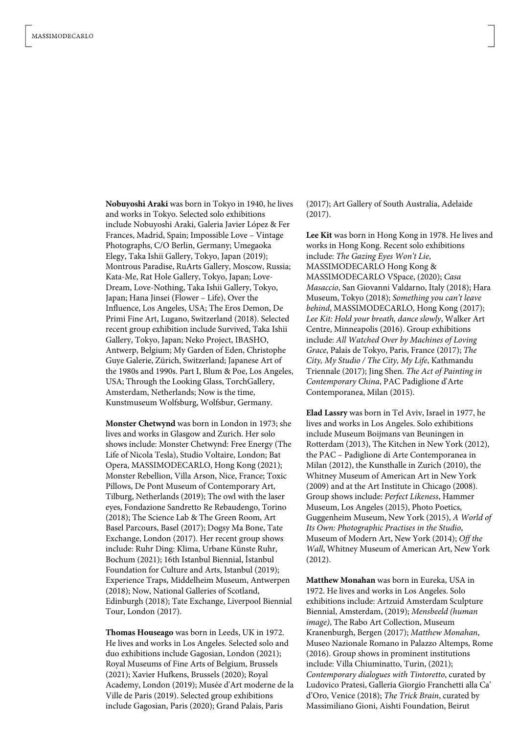**Nobuyoshi Araki** was born in Tokyo in 1940, he lives and works in Tokyo. Selected solo exhibitions include Nobuyoshi Araki, Galeria Javier López & Fer Frances, Madrid, Spain; Impossible Love – Vintage Photographs, C/O Berlin, Germany; Umegaoka Elegy, Taka Ishii Gallery, Tokyo, Japan (2019); Montrous Paradise, RuArts Gallery, Moscow, Russia; Kata-Me, Rat Hole Gallery, Tokyo, Japan; Love-Dream, Love-Nothing, Taka Ishii Gallery, Tokyo, Japan; Hana Jinsei (Flower – Life), Over the Influence, Los Angeles, USA; The Eros Demon, De Primi Fine Art, Lugano, Switzerland (2018). Selected recent group exhibition include Survived, Taka Ishii Gallery, Tokyo, Japan; Neko Project, IBASHO, Antwerp, Belgium; My Garden of Eden, Christophe Guye Galerie, Zürich, Switzerland; Japanese Art of the 1980s and 1990s. Part I, Blum & Poe, Los Angeles, USA; Through the Looking Glass, TorchGallery, Amsterdam, Netherlands; Now is the time, Kunstmuseum Wolfsburg, Wolfsbur, Germany.

**Monster Chetwynd** was born in London in 1973; she lives and works in Glasgow and Zurich. Her solo shows include: Monster Chetwynd: Free Energy (The Life of Nicola Tesla), Studio Voltaire, London; Bat Opera, MASSIMODECARLO, Hong Kong (2021); Monster Rebellion, Villa Arson, Nice, France; Toxic Pillows, De Pont Museum of Contemporary Art, Tilburg, Netherlands (2019); The owl with the laser eyes, Fondazione Sandretto Re Rebaudengo, Torino (2018); The Science Lab & The Green Room, Art Basel Parcours, Basel (2017); Dogsy Ma Bone, Tate Exchange, London (2017). Her recent group shows include: Ruhr Ding: Klima, Urbane Künste Ruhr, Bochum (2021); 16th Istanbul Biennial, İstanbul Foundation for Culture and Arts, Istanbul (2019); Experience Traps, Middelheim Museum, Antwerpen (2018); Now, National Galleries of Scotland, Edinburgh (2018); Tate Exchange, Liverpool Biennial Tour, London (2017).

**Thomas Houseago** was born in Leeds, UK in 1972. He lives and works in Los Angeles. Selected solo and duo exhibitions include Gagosian, London (2021); Royal Museums of Fine Arts of Belgium, Brussels (2021); Xavier Hufkens, Brussels (2020); Royal Academy, London (2019); Musée d'Art moderne de la Ville de Paris (2019). Selected group exhibitions include Gagosian, Paris (2020); Grand Palais, Paris

(2017); Art Gallery of South Australia, Adelaide (2017).

**Lee Kit** was born in Hong Kong in 1978. He lives and works in Hong Kong. Recent solo exhibitions include: *The Gazing Eyes Won't Lie*, MASSIMODECARLO Hong Kong & MASSIMODECARLO VSpace, (2020); *Casa Masaccio*, San Giovanni Valdarno, Italy (2018); Hara Museum, Tokyo (2018); *Something you can't leave behind*, MASSIMODECARLO, Hong Kong (2017); *Lee Kit: Hold your breath, dance slowly*, Walker Art Centre, Minneapolis (2016). Group exhibitions include: *All Watched Over by Machines of Loving Grace*, Palais de Tokyo, Paris, France (2017); *The City, My Studio / The City, My Life*, Kathmandu Triennale (2017); Jing Shen. *The Act of Painting in Contemporary China*, PAC Padiglione d'Arte Contemporanea, Milan (2015).

**Elad Lassry** was born in Tel Aviv, Israel in 1977, he lives and works in Los Angeles. Solo exhibitions include Museum Boijmans van Beuningen in Rotterdam (2013), The Kitchen in New York (2012), the PAC – Padiglione di Arte Contemporanea in Milan (2012), the Kunsthalle in Zurich (2010), the Whitney Museum of American Art in New York (2009) and at the Art Institute in Chicago (2008). Group shows include: *Perfect Likeness*, Hammer Museum, Los Angeles (2015), Photo Poetics, Guggenheim Museum, New York (2015), *A World of Its Own: Photographic Practises in the Studio*, Museum of Modern Art, New York (2014); *Off the Wall*, Whitney Museum of American Art, New York (2012).

**Matthew Monahan** was born in Eureka, USA in 1972. He lives and works in Los Angeles. Solo exhibitions include: Artzuid Amsterdam Sculpture Biennial, Amsterdam, (2019); *Mensbeeld (human image)*, The Rabo Art Collection, Museum Kranenburgh, Bergen (2017); *Matthew Monahan*, Museo Nazionale Romano in Palazzo Altemps, Rome (2016). Group shows in prominent institutions include: Villa Chiuminatto, Turin, (2021); *Contemporary dialogues with Tintoretto*, curated by Ludovico Pratesi, Galleria Giorgio Franchetti alla Ca' d'Oro, Venice (2018); *The Trick Brain*, curated by Massimiliano Gioni, Aishti Foundation, Beirut